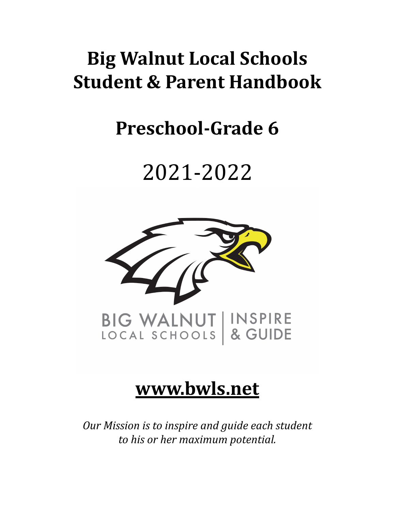# **Big Walnut Local Schools Student & Parent Handbook**

# **Preschool-Grade 6**

# 2021-2022



# **[www.bwls.net](http://www.bwls.net)**

*Our Mission is to inspire and guide each student to his or her maximum potential.*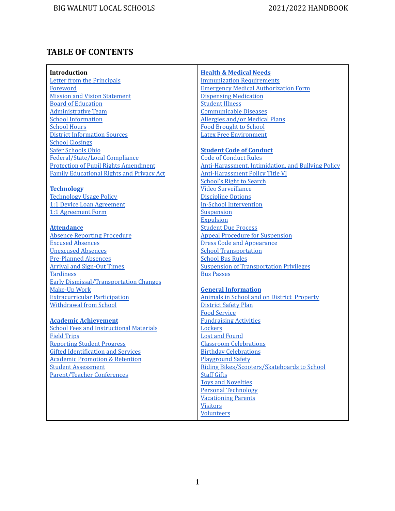# **TABLE OF CONTENTS**

| Introduction                                     | <b>Health &amp; Medical Needs</b>                         |
|--------------------------------------------------|-----------------------------------------------------------|
| Letter from the Principals                       | <b>Immunization Requirements</b>                          |
| Foreword                                         | <b>Emergency Medical Authorization Form</b>               |
| <b>Mission and Vision Statement</b>              | <b>Dispensing Medication</b>                              |
| <b>Board of Education</b>                        | <b>Student Illness</b>                                    |
| <b>Administrative Team</b>                       | <b>Communicable Diseases</b>                              |
| <b>School Information</b>                        | <b>Allergies and/or Medical Plans</b>                     |
| <b>School Hours</b>                              | <b>Food Brought to School</b>                             |
| <b>District Information Sources</b>              | <b>Latex Free Environment</b>                             |
| <b>School Closings</b>                           |                                                           |
| Safer Schools Ohio                               | <b>Student Code of Conduct</b>                            |
| Federal/State/Local Compliance                   | <b>Code of Conduct Rules</b>                              |
| <b>Protection of Pupil Rights Amendment</b>      | <b>Anti-Harassment, Intimidation, and Bullying Policy</b> |
| <b>Family Educational Rights and Privacy Act</b> | <b>Anti-Harassment Policy Title VI</b>                    |
|                                                  | <b>School's Right to Search</b>                           |
| <b>Technology</b>                                | <b>Video Surveillance</b>                                 |
| <b>Technology Usage Policy</b>                   | <b>Discipline Options</b>                                 |
| 1:1 Device Loan Agreement                        | <b>In-School Intervention</b>                             |
| 1:1 Agreement Form                               | Suspension                                                |
|                                                  | <b>Expulsion</b>                                          |
| <b>Attendance</b>                                | <b>Student Due Process</b>                                |
| <b>Absence Reporting Procedure</b>               | <b>Appeal Procedure for Suspension</b>                    |
| <b>Excused Absences</b>                          | <b>Dress Code and Appearance</b>                          |
| <b>Unexcused Absences</b>                        | <b>School Transportation</b>                              |
| <b>Pre-Planned Absences</b>                      | <b>School Bus Rules</b>                                   |
| <b>Arrival and Sign-Out Times</b>                | <b>Suspension of Transportation Privileges</b>            |
| <b>Tardiness</b>                                 | <b>Bus Passes</b>                                         |
| <b>Early Dismissal/Transportation Changes</b>    |                                                           |
| <b>Make-Up Work</b>                              | <b>General Information</b>                                |
| <b>Extracurricular Participation</b>             | <b>Animals in School and on District Property</b>         |
| <b>Withdrawal from School</b>                    | <b>District Safety Plan</b>                               |
|                                                  | <b>Food Service</b>                                       |
| <b>Academic Achievement</b>                      | <b>Fundraising Activities</b>                             |
| <b>School Fees and Instructional Materials</b>   | Lockers                                                   |
| <b>Field Trips</b>                               | <b>Lost and Found</b>                                     |
| <b>Reporting Student Progress</b>                | <b>Classroom Celebrations</b>                             |
| <b>Gifted Identification and Services</b>        | <b>Birthday Celebrations</b>                              |
| <b>Academic Promotion &amp; Retention</b>        | <b>Playground Safety</b>                                  |
| <b>Student Assessment</b>                        | Riding Bikes/Scooters/Skateboards to School               |
| <b>Parent/Teacher Conferences</b>                | <b>Staff Gifts</b>                                        |
|                                                  | <b>Toys and Novelties</b>                                 |
|                                                  | <b>Personal Technology</b>                                |
|                                                  | <b>Vacationing Parents</b>                                |
|                                                  | <b>Visitors</b>                                           |
|                                                  | <b>Volunteers</b>                                         |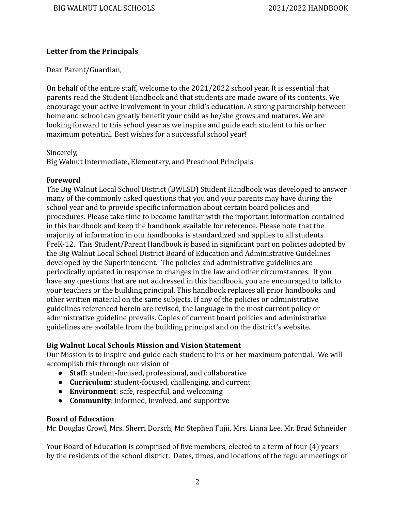#### <span id="page-2-0"></span>**Letter from the Principals**

Dear Parent/Guardian,

On behalf of the entire staff, welcome to the 2021/2022 school year. It is essential that parents read the Student Handbook and that students are made aware of its contents. We encourage your active involvement in your child's education. A strong partnership between home and school can greatly benefit your child as he/she grows and matures. We are looking forward to this school year as we inspire and guide each student to his or her maximum potential. Best wishes for a successful school year!

#### Sincerely,

Big Walnut Intermediate, Elementary, and Preschool Principals

#### <span id="page-2-1"></span>**Foreword**

The Big Walnut Local School District (BWLSD) Student Handbook was developed to answer many of the commonly asked questions that you and your parents may have during the school year and to provide specific information about certain board policies and procedures. Please take time to become familiar with the important information contained in this handbook and keep the handbook available for reference. Please note that the majority of information in our handbooks is standardized and applies to all students PreK-12. This Student/Parent Handbook is based in significant part on policies adopted by the Big Walnut Local School District Board of Education and Administrative Guidelines developed by the Superintendent. The policies and administrative guidelines are periodically updated in response to changes in the law and other circumstances. If you have any questions that are not addressed in this handbook, you are encouraged to talk to your teachers or the building principal. This handbook replaces all prior handbooks and other written material on the same subjects. If any of the policies or administrative guidelines referenced herein are revised, the language in the most current policy or administrative guideline prevails. Copies of current board policies and administrative guidelines are available from the building principal and on the district's website.

#### <span id="page-2-2"></span>**Big Walnut Local Schools Mission and Vision Statement**

Our Mission is to inspire and guide each student to his or her maximum potential. We will accomplish this through our vision of

- **Staff**: student-focused, professional, and collaborative
- **Curriculum**: student-focused, challenging, and current
- **Environment**: safe, respectful, and welcoming
- **Community**: informed, involved, and supportive

#### <span id="page-2-3"></span>**Board of Education**

Mr. Douglas Crowl, Mrs. Sherri Dorsch, Mr. Stephen Fujii, Mrs. Liana Lee, Mr. Brad Schneider

Your Board of Education is comprised of five members, elected to a term of four (4) years by the residents of the school district. Dates, times, and locations of the regular meetings of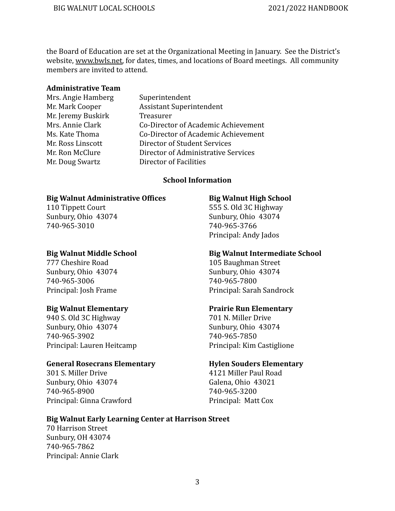the Board of Education are set at the Organizational Meeting in January. See the District's website, [www.bwls.net,](http://www.bwls.net) for dates, times, and locations of Board meetings. All community members are invited to attend.

#### <span id="page-3-0"></span>**Administrative Team**

- Mrs. Angie Hamberg Superintendent Mr. Jeremy Buskirk Treasurer
- Mr. Mark Cooper Assistant Superintendent Mrs. Annie Clark Co-Director of Academic Achievement Ms. Kate Thoma Co-Director of Academic Achievement Mr. Ross Linscott **Director of Student Services** Mr. Ron McClure **Director of Administrative Services** Mr. Doug Swartz Director of Facilities

#### **School Information**

#### <span id="page-3-1"></span>**Big Walnut Administrative Offices Big Walnut High School**

740-965-3010 740-965-3766

Sunbury, Ohio 43074 Sunbury, Ohio 43074 740-965-3006 740-965-7800

940 S. Old 3C Highway 701 N. Miller Drive Sunbury, Ohio 43074 Sunbury, Ohio 43074 740-965-3902 740-965-7850 Principal: Lauren Heitcamp Principal: Kim Castiglione

#### **General Rosecrans Elementary Hylen Souders Elementary**

301 S. Miller Drive 4121 Miller Paul Road Sunbury, Ohio 43074 Galena, Ohio 43021 740-965-8900 740-965-3200 Principal: Ginna Crawford Principal: Matt Cox

110 Tippett Court 555 S. Old 3C Highway Sunbury, Ohio 43074 Sunbury, Ohio 43074 Principal: Andy Jados

#### **Big Walnut Middle School Big Walnut Intermediate School**

777 Cheshire Road 105 Baughman Street Principal: Josh Frame Principal: Sarah Sandrock

#### **Big Walnut Elementary Prairie Run Elementary**

#### **Big Walnut Early Learning Center at Harrison Street**

70 Harrison Street Sunbury, OH 43074 740-965-7862 Principal: Annie Clark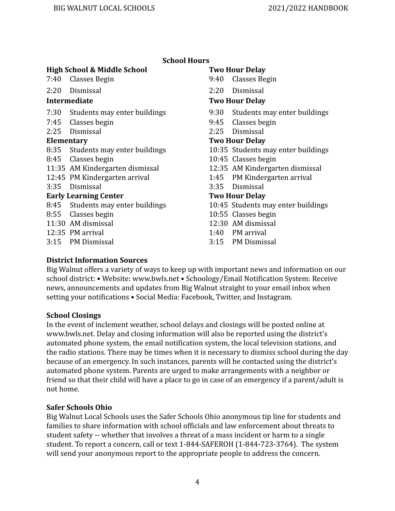| <b>School Hours</b> |  |
|---------------------|--|
|---------------------|--|

#### <span id="page-4-0"></span>**High School & Middle School Two Hour Delay**

- 
- 2:20 Dismissal 2:20 Dismissal

- 7:30 Students may enter buildings 9:30 Students may enter buildings
- 7:45 Classes begin 9:45 Classes begin
- 

- 8:35 Students may enter buildings 10:35 Students may enter buildings
- 8:45 Classes begin 10:45 Classes begin
- 11:35 AM Kindergarten dismissal 12:35 AM Kindergarten dismissal
- 12:45 PM Kindergarten arrival 1:45 PM Kindergarten arrival
- 

#### **Early Learning Center Two Hour Delay**

- 8:45 Students may enter buildings 10:45 Students may enter buildings
- 8:55 Classes begin 20:55 Classes begin
- 
- 
- 3:15 PM Dismissal 3:15 PM Dismissal

- 7:40 Classes Begin 9:40 Classes Begin
	-

#### **Intermediate Two Hour Delay**

- 
- 
- 2:25 Dismissal 2:25 Dismissal

#### **Elementary Two Hour Delay**

- 
- 
- 
- 
- 3:35 Dismissal 3:35 Dismissal

- 
- 
- 11:30 AM dismissal 12:30 AM dismissal
- 12:35 PM arrival 1:40 PM arrival
	-

#### <span id="page-4-1"></span>**District Information Sources**

Big Walnut offers a variety of ways to keep up with important news and information on our school district: • Website: www.bwls.net • Schoology/Email Notification System: Receive news, announcements and updates from Big Walnut straight to your email inbox when setting your notifications • Social Media: Facebook, Twitter, and Instagram.

#### <span id="page-4-2"></span>**School Closings**

In the event of inclement weather, school delays and closings will be posted online at www.bwls.net. Delay and closing information will also be reported using the district's automated phone system, the email notification system, the local television stations, and the radio stations. There may be times when it is necessary to dismiss school during the day because of an emergency. In such instances, parents will be contacted using the district's automated phone system. Parents are urged to make arrangements with a neighbor or friend so that their child will have a place to go in case of an emergency if a parent/adult is not home.

#### <span id="page-4-3"></span>**Safer Schools Ohio**

Big Walnut Local Schools uses the Safer Schools Ohio anonymous tip line for students and families to share information with school officials and law enforcement about threats to student safety -- whether that involves a threat of a mass incident or harm to a single student. To report a concern, call or text 1-844-SAFEROH (1-844-723-3764). The system will send your anonymous report to the appropriate people to address the concern.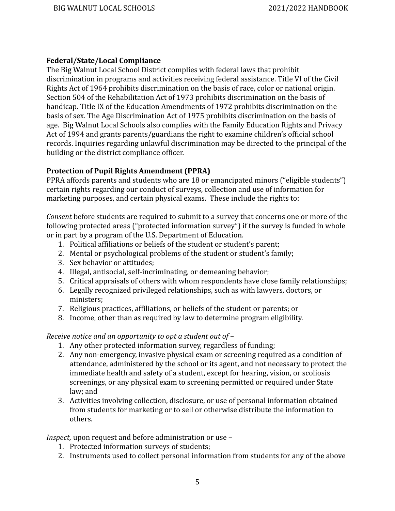#### <span id="page-5-0"></span>**Federal/State/Local Compliance**

The Big Walnut Local School District complies with federal laws that prohibit discrimination in programs and activities receiving federal assistance. Title VI of the Civil Rights Act of 1964 prohibits discrimination on the basis of race, color or national origin. Section 504 of the Rehabilitation Act of 1973 prohibits discrimination on the basis of handicap. Title IX of the Education Amendments of 1972 prohibits discrimination on the basis of sex. The Age Discrimination Act of 1975 prohibits discrimination on the basis of age. Big Walnut Local Schools also complies with the Family Education Rights and Privacy Act of 1994 and grants parents/guardians the right to examine children's official school records. Inquiries regarding unlawful discrimination may be directed to the principal of the building or the district compliance officer.

#### <span id="page-5-1"></span>**Protection of Pupil Rights Amendment (PPRA)**

PPRA affords parents and students who are 18 or emancipated minors ("eligible students") certain rights regarding our conduct of surveys, collection and use of information for marketing purposes, and certain physical exams. These include the rights to:

*Consent* before students are required to submit to a survey that concerns one or more of the following protected areas ("protected information survey") if the survey is funded in whole or in part by a program of the U.S. Department of Education.

- 1. Political affiliations or beliefs of the student or student's parent;
- 2. Mental or psychological problems of the student or student's family;
- 3. Sex behavior or attitudes;
- 4. Illegal, antisocial, self-incriminating, or demeaning behavior;
- 5. Critical appraisals of others with whom respondents have close family relationships;
- 6. Legally recognized privileged relationships, such as with lawyers, doctors, or ministers;
- 7. Religious practices, affiliations, or beliefs of the student or parents; or
- 8. Income, other than as required by law to determine program eligibility.

*Receive notice and an opportunity to opt a student out of –*

- 1. Any other protected information survey, regardless of funding;
- 2. Any non-emergency, invasive physical exam or screening required as a condition of attendance, administered by the school or its agent, and not necessary to protect the immediate health and safety of a student, except for hearing, vision, or scoliosis screenings, or any physical exam to screening permitted or required under State law; and
- 3. Activities involving collection, disclosure, or use of personal information obtained from students for marketing or to sell or otherwise distribute the information to others.

*Inspect,* upon request and before administration or use –

- 1. Protected information surveys of students;
- 2. Instruments used to collect personal information from students for any of the above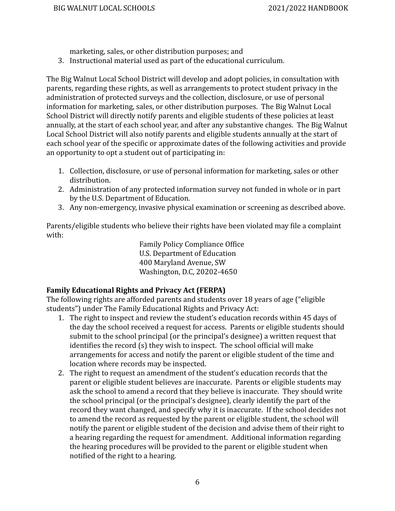marketing, sales, or other distribution purposes; and

3. Instructional material used as part of the educational curriculum.

The Big Walnut Local School District will develop and adopt policies, in consultation with parents, regarding these rights, as well as arrangements to protect student privacy in the administration of protected surveys and the collection, disclosure, or use of personal information for marketing, sales, or other distribution purposes. The Big Walnut Local School District will directly notify parents and eligible students of these policies at least annually, at the start of each school year, and after any substantive changes. The Big Walnut Local School District will also notify parents and eligible students annually at the start of each school year of the specific or approximate dates of the following activities and provide an opportunity to opt a student out of participating in:

- 1. Collection, disclosure, or use of personal information for marketing, sales or other distribution.
- 2. Administration of any protected information survey not funded in whole or in part by the U.S. Department of Education.
- 3. Any non-emergency, invasive physical examination or screening as described above.

Parents/eligible students who believe their rights have been violated may file a complaint with:

> Family Policy Compliance Office U.S. Department of Education 400 Maryland Avenue, SW Washington, D.C, 20202-4650

### <span id="page-6-0"></span>**Family Educational Rights and Privacy Act (FERPA)**

The following rights are afforded parents and students over 18 years of age ("eligible students") under The Family Educational Rights and Privacy Act:

- 1. The right to inspect and review the student's education records within 45 days of the day the school received a request for access. Parents or eligible students should submit to the school principal (or the principal's designee) a written request that identifies the record (s) they wish to inspect. The school official will make arrangements for access and notify the parent or eligible student of the time and location where records may be inspected.
- 2. The right to request an amendment of the student's education records that the parent or eligible student believes are inaccurate. Parents or eligible students may ask the school to amend a record that they believe is inaccurate. They should write the school principal (or the principal's designee), clearly identify the part of the record they want changed, and specify why it is inaccurate. If the school decides not to amend the record as requested by the parent or eligible student, the school will notify the parent or eligible student of the decision and advise them of their right to a hearing regarding the request for amendment. Additional information regarding the hearing procedures will be provided to the parent or eligible student when notified of the right to a hearing.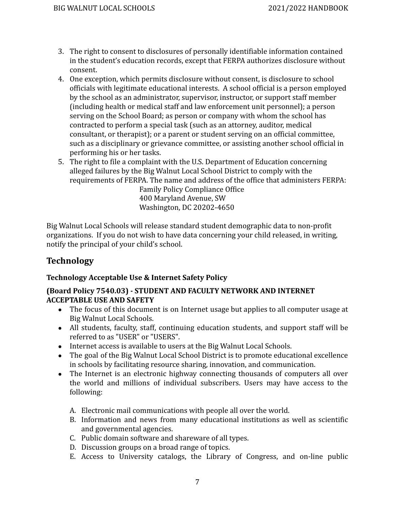- 3. The right to consent to disclosures of personally identifiable information contained in the student's education records, except that FERPA authorizes disclosure without consent.
- 4. One exception, which permits disclosure without consent, is disclosure to school officials with legitimate educational interests. A school official is a person employed by the school as an administrator, supervisor, instructor, or support staff member (including health or medical staff and law enforcement unit personnel); a person serving on the School Board; as person or company with whom the school has contracted to perform a special task (such as an attorney, auditor, medical consultant, or therapist); or a parent or student serving on an official committee, such as a disciplinary or grievance committee, or assisting another school official in performing his or her tasks.
- 5. The right to file a complaint with the U.S. Department of Education concerning alleged failures by the Big Walnut Local School District to comply with the requirements of FERPA. The name and address of the office that administers FERPA: Family Policy Compliance Office

400 Maryland Avenue, SW Washington, DC 20202-4650

Big Walnut Local Schools will release standard student demographic data to non-profit organizations. If you do not wish to have data concerning your child released, in writing, notify the principal of your child's school.

### <span id="page-7-0"></span>**Technology**

### <span id="page-7-1"></span>**Technology Acceptable Use & Internet Safety Policy**

#### **(Board Policy 7540.03) - STUDENT AND FACULTY NETWORK AND INTERNET ACCEPTABLE USE AND SAFETY**

- The focus of this document is on Internet usage but applies to all computer usage at Big Walnut Local Schools.
- All students, faculty, staff, continuing education students, and support staff will be referred to as "USER" or "USERS".
- Internet access is available to users at the Big Walnut Local Schools.
- The goal of the Big Walnut Local School District is to promote educational excellence in schools by facilitating resource sharing, innovation, and communication.
- The Internet is an electronic highway connecting thousands of computers all over the world and millions of individual subscribers. Users may have access to the following:
	- A. Electronic mail communications with people all over the world.
	- B. Information and news from many educational institutions as well as scientific and governmental agencies.
	- C. Public domain software and shareware of all types.
	- D. Discussion groups on a broad range of topics.
	- E. Access to University catalogs, the Library of Congress, and on-line public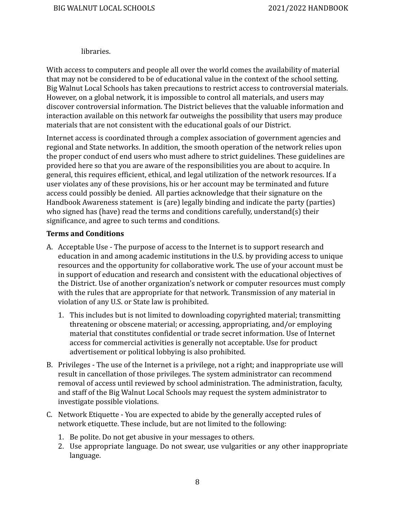#### libraries.

With access to computers and people all over the world comes the availability of material that may not be considered to be of educational value in the context of the school setting. Big Walnut Local Schools has taken precautions to restrict access to controversial materials. However, on a global network, it is impossible to control all materials, and users may discover controversial information. The District believes that the valuable information and interaction available on this network far outweighs the possibility that users may produce materials that are not consistent with the educational goals of our District.

Internet access is coordinated through a complex association of government agencies and regional and State networks. In addition, the smooth operation of the network relies upon the proper conduct of end users who must adhere to strict guidelines. These guidelines are provided here so that you are aware of the responsibilities you are about to acquire. In general, this requires efficient, ethical, and legal utilization of the network resources. If a user violates any of these provisions, his or her account may be terminated and future access could possibly be denied. All parties acknowledge that their signature on the Handbook Awareness statement is (are) legally binding and indicate the party (parties) who signed has (have) read the terms and conditions carefully, understand(s) their significance, and agree to such terms and conditions.

#### **Terms and Conditions**

- A. Acceptable Use The purpose of access to the Internet is to support research and education in and among academic institutions in the U.S. by providing access to unique resources and the opportunity for collaborative work. The use of your account must be in support of education and research and consistent with the educational objectives of the District. Use of another organization's network or computer resources must comply with the rules that are appropriate for that network. Transmission of any material in violation of any U.S. or State law is prohibited.
	- 1. This includes but is not limited to downloading copyrighted material; transmitting threatening or obscene material; or accessing, appropriating, and/or employing material that constitutes confidential or trade secret information. Use of Internet access for commercial activities is generally not acceptable. Use for product advertisement or political lobbying is also prohibited.
- B. Privileges The use of the Internet is a privilege, not a right; and inappropriate use will result in cancellation of those privileges. The system administrator can recommend removal of access until reviewed by school administration. The administration, faculty, and staff of the Big Walnut Local Schools may request the system administrator to investigate possible violations.
- C. Network Etiquette You are expected to abide by the generally accepted rules of network etiquette. These include, but are not limited to the following:
	- 1. Be polite. Do not get abusive in your messages to others.
	- 2. Use appropriate language. Do not swear, use vulgarities or any other inappropriate language.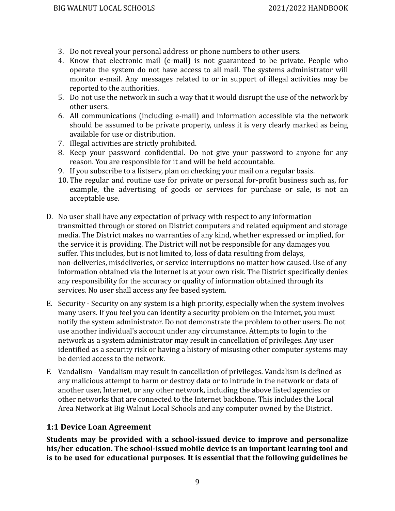- 3. Do not reveal your personal address or phone numbers to other users.
- 4. Know that electronic mail (e-mail) is not guaranteed to be private. People who operate the system do not have access to all mail. The systems administrator will monitor e-mail. Any messages related to or in support of illegal activities may be reported to the authorities.
- 5. Do not use the network in such a way that it would disrupt the use of the network by other users.
- 6. All communications (including e-mail) and information accessible via the network should be assumed to be private property, unless it is very clearly marked as being available for use or distribution.
- 7. Illegal activities are strictly prohibited.
- 8. Keep your password confidential. Do not give your password to anyone for any reason. You are responsible for it and will be held accountable.
- 9. If you subscribe to a listserv, plan on checking your mail on a regular basis.
- 10. The regular and routine use for private or personal for-profit business such as, for example, the advertising of goods or services for purchase or sale, is not an acceptable use.
- D. No user shall have any expectation of privacy with respect to any information transmitted through or stored on District computers and related equipment and storage media. The District makes no warranties of any kind, whether expressed or implied, for the service it is providing. The District will not be responsible for any damages you suffer. This includes, but is not limited to, loss of data resulting from delays, non-deliveries, misdeliveries, or service interruptions no matter how caused. Use of any information obtained via the Internet is at your own risk. The District specifically denies any responsibility for the accuracy or quality of information obtained through its services. No user shall access any fee based system.
- E. Security Security on any system is a high priority, especially when the system involves many users. If you feel you can identify a security problem on the Internet, you must notify the system administrator. Do not demonstrate the problem to other users. Do not use another individual's account under any circumstance. Attempts to login to the network as a system administrator may result in cancellation of privileges. Any user identified as a security risk or having a history of misusing other computer systems may be denied access to the network.
- F. Vandalism Vandalism may result in cancellation of privileges. Vandalism is defined as any malicious attempt to harm or destroy data or to intrude in the network or data of another user, Internet, or any other network, including the above listed agencies or other networks that are connected to the Internet backbone. This includes the Local Area Network at Big Walnut Local Schools and any computer owned by the District.

### <span id="page-9-0"></span>**1:1 Device Loan Agreement**

**Students may be provided with a school-issued device to improve and personalize his/her education. The school-issued mobile device is an important learning tool and is to be used for educational purposes. It is essential that the following guidelines be**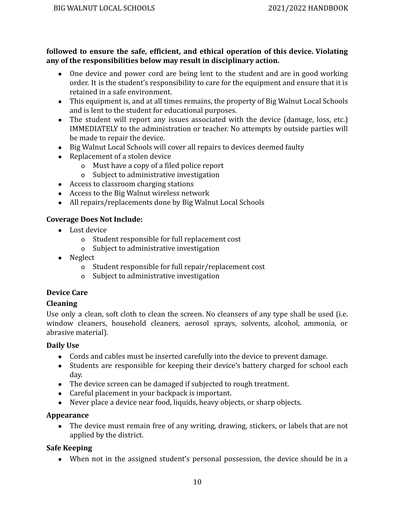#### **followed to ensure the safe, efficient, and ethical operation of this device. Violating any of the responsibilities below may result in disciplinary action.**

- One device and power cord are being lent to the student and are in good working order. It is the student's responsibility to care for the equipment and ensure that it is retained in a safe environment.
- This equipment is, and at all times remains, the property of Big Walnut Local Schools and is lent to the student for educational purposes.
- The student will report any issues associated with the device (damage, loss, etc.) IMMEDIATELY to the administration or teacher. No attempts by outside parties will be made to repair the device.
- Big Walnut Local Schools will cover all repairs to devices deemed faulty
- Replacement of a stolen device
	- o Must have a copy of a filed police report
	- o Subject to administrative investigation
- Access to classroom charging stations
- Access to the Big Walnut wireless network
- All repairs/replacements done by Big Walnut Local Schools

#### **Coverage Does Not Include:**

- Lost device
	- o Student responsible for full replacement cost
	- o Subject to administrative investigation
- Neglect
	- o Student responsible for full repair/replacement cost
	- o Subject to administrative investigation

### **Device Care**

### **Cleaning**

Use only a clean, soft cloth to clean the screen. No cleansers of any type shall be used (i.e. window cleaners, household cleaners, aerosol sprays, solvents, alcohol, ammonia, or abrasive material).

#### **Daily Use**

- Cords and cables must be inserted carefully into the device to prevent damage.
- Students are responsible for keeping their device's battery charged for school each day.
- The device screen can be damaged if subjected to rough treatment.
- Careful placement in your backpack is important.
- Never place a device near food, liquids, heavy objects, or sharp objects.

#### **Appearance**

• The device must remain free of any writing, drawing, stickers, or labels that are not applied by the district.

### **Safe Keeping**

• When not in the assigned student's personal possession, the device should be in a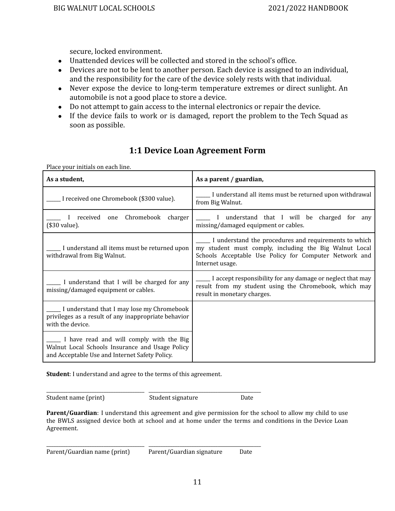secure, locked environment.

- Unattended devices will be collected and stored in the school's office.
- Devices are not to be lent to another person. Each device is assigned to an individual, and the responsibility for the care of the device solely rests with that individual.
- Never expose the device to long-term temperature extremes or direct sunlight. An automobile is not a good place to store a device.
- Do not attempt to gain access to the internal electronics or repair the device.
- If the device fails to work or is damaged, report the problem to the Tech Squad as soon as possible.

## **1:1 Device Loan Agreement Form**

<span id="page-11-0"></span>Place your initials on each line.

| As a student,                                                                                                                                 | As a parent / guardian,                                                                                                                                                                      |
|-----------------------------------------------------------------------------------------------------------------------------------------------|----------------------------------------------------------------------------------------------------------------------------------------------------------------------------------------------|
| . I received one Chromebook (\$300 value).                                                                                                    | I understand all items must be returned upon withdrawal<br>from Big Walnut.                                                                                                                  |
| received one Chromebook<br>charger<br>(\$30 value).                                                                                           | I understand that I will be charged<br>for any<br>missing/damaged equipment or cables.                                                                                                       |
| I understand all items must be returned upon<br>withdrawal from Big Walnut.                                                                   | I understand the procedures and requirements to which<br>my student must comply, including the Big Walnut Local<br>Schools Acceptable Use Policy for Computer Network and<br>Internet usage. |
| I understand that I will be charged for any<br>missing/damaged equipment or cables.                                                           | I accept responsibility for any damage or neglect that may<br>result from my student using the Chromebook, which may<br>result in monetary charges.                                          |
| I understand that I may lose my Chromebook<br>privileges as a result of any inappropriate behavior<br>with the device.                        |                                                                                                                                                                                              |
| I have read and will comply with the Big<br>Walnut Local Schools Insurance and Usage Policy<br>and Acceptable Use and Internet Safety Policy. |                                                                                                                                                                                              |

**Student**: I understand and agree to the terms of this agreement.

Student name (print) Student signature Date

\_\_\_\_\_\_\_\_\_\_\_\_\_\_\_\_\_\_\_\_\_\_\_\_\_\_\_\_\_\_\_\_\_\_\_\_\_\_\_\_\_ \_\_\_\_\_\_\_\_\_\_\_\_\_\_\_\_\_\_\_\_\_\_\_\_\_\_\_\_\_\_\_\_\_\_\_\_\_\_\_\_\_\_\_\_\_\_\_

**Parent/Guardian**: I understand this agreement and give permission for the school to allow my child to use the BWLS assigned device both at school and at home under the terms and conditions in the Device Loan Agreement.

\_\_\_\_\_\_\_\_\_\_\_\_\_\_\_\_\_\_\_\_\_\_\_\_\_\_\_\_\_\_\_\_\_\_\_\_\_\_\_\_\_ \_\_\_\_\_\_\_\_\_\_\_\_\_\_\_\_\_\_\_\_\_\_\_\_\_\_\_\_\_\_\_\_\_\_\_\_\_\_\_\_\_\_\_\_\_\_\_ Parent/Guardian name (print) Parent/Guardian signature Date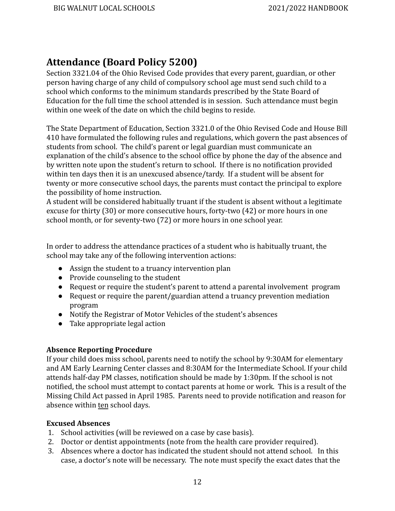# <span id="page-12-0"></span>**Attendance (Board Policy 5200)**

Section 3321.04 of the Ohio Revised Code provides that every parent, guardian, or other person having charge of any child of compulsory school age must send such child to a school which conforms to the minimum standards prescribed by the State Board of Education for the full time the school attended is in session. Such attendance must begin within one week of the date on which the child begins to reside.

The State Department of Education, Section 3321.0 of the Ohio Revised Code and House Bill 410 have formulated the following rules and regulations, which govern the past absences of students from school. The child's parent or legal guardian must communicate an explanation of the child's absence to the school office by phone the day of the absence and by written note upon the student's return to school. If there is no notification provided within ten days then it is an unexcused absence/tardy. If a student will be absent for twenty or more consecutive school days, the parents must contact the principal to explore the possibility of home instruction.

A student will be considered habitually truant if the student is absent without a legitimate excuse for thirty (30) or more consecutive hours, forty-two (42) or more hours in one school month, or for seventy-two (72) or more hours in one school year.

In order to address the attendance practices of a student who is habitually truant, the school may take any of the following intervention actions:

- Assign the student to a truancy intervention plan
- Provide counseling to the student
- Request or require the student's parent to attend a parental involvement program
- Request or require the parent/guardian attend a truancy prevention mediation program
- Notify the Registrar of Motor Vehicles of the student's absences
- Take appropriate legal action

#### <span id="page-12-1"></span>**Absence Reporting Procedure**

If your child does miss school, parents need to notify the school by 9:30AM for elementary and AM Early Learning Center classes and 8:30AM for the Intermediate School. If your child attends half-day PM classes, notification should be made by 1:30pm. If the school is not notified, the school must attempt to contact parents at home or work. This is a result of the Missing Child Act passed in April 1985. Parents need to provide notification and reason for absence within ten school days.

#### <span id="page-12-2"></span>**Excused Absences**

- 1. School activities (will be reviewed on a case by case basis).
- 2. Doctor or dentist appointments (note from the health care provider required).
- 3. Absences where a doctor has indicated the student should not attend school. In this case, a doctor's note will be necessary. The note must specify the exact dates that the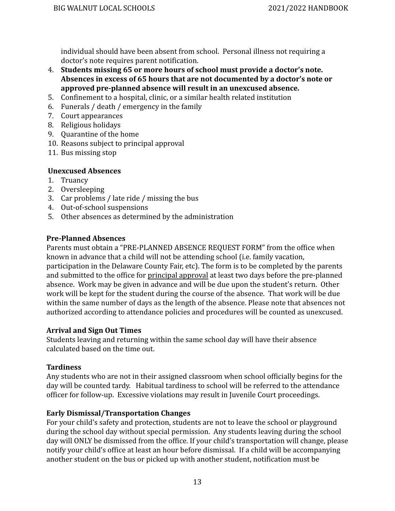individual should have been absent from school. Personal illness not requiring a doctor's note requires parent notification.

- 4. **Students missing 65 or more hours of school must provide a doctor's note. Absences in excess of 65 hours that are not documented by a doctor's note or approved pre-planned absence will result in an unexcused absence.**
- 5. Confinement to a hospital, clinic, or a similar health related institution
- 6. Funerals / death / emergency in the family
- 7. Court appearances
- 8. Religious holidays
- 9. Quarantine of the home
- 10. Reasons subject to principal approval
- 11. Bus missing stop

#### <span id="page-13-0"></span>**Unexcused Absences**

- 1. Truancy
- 2. Oversleeping
- 3. Car problems / late ride / missing the bus
- 4. Out-of-school suspensions
- 5. Other absences as determined by the administration

#### <span id="page-13-1"></span>**Pre-Planned Absences**

Parents must obtain a "PRE-PLANNED ABSENCE REQUEST FORM" from the office when known in advance that a child will not be attending school (i.e. family vacation, participation in the Delaware County Fair, etc). The form is to be completed by the parents and submitted to the office for principal approval at least two days before the pre-planned absence. Work may be given in advance and will be due upon the student's return. Other work will be kept for the student during the course of the absence. That work will be due within the same number of days as the length of the absence. Please note that absences not authorized according to attendance policies and procedures will be counted as unexcused.

#### <span id="page-13-2"></span>**Arrival and Sign Out Times**

Students leaving and returning within the same school day will have their absence calculated based on the time out.

#### <span id="page-13-3"></span>**Tardiness**

Any students who are not in their assigned classroom when school officially begins for the day will be counted tardy. Habitual tardiness to school will be referred to the attendance officer for follow-up. Excessive violations may result in Juvenile Court proceedings.

#### <span id="page-13-4"></span>**Early Dismissal/Transportation Changes**

For your child's safety and protection, students are not to leave the school or playground during the school day without special permission. Any students leaving during the school day will ONLY be dismissed from the office. If your child's transportation will change, please notify your child's office at least an hour before dismissal. If a child will be accompanying another student on the bus or picked up with another student, notification must be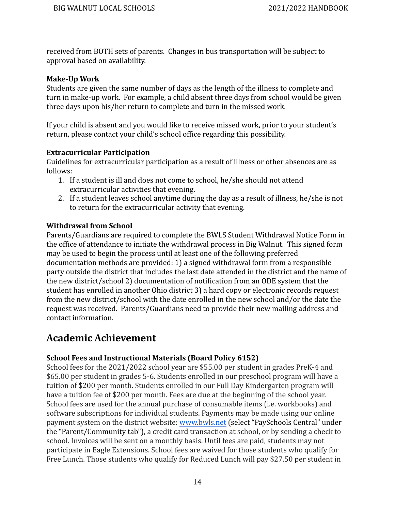received from BOTH sets of parents. Changes in bus transportation will be subject to approval based on availability.

#### <span id="page-14-0"></span>**Make-Up Work**

Students are given the same number of days as the length of the illness to complete and turn in make-up work. For example, a child absent three days from school would be given three days upon his/her return to complete and turn in the missed work.

If your child is absent and you would like to receive missed work, prior to your student's return, please contact your child's school office regarding this possibility.

#### <span id="page-14-1"></span>**Extracurricular Participation**

Guidelines for extracurricular participation as a result of illness or other absences are as follows:

- 1. If a student is ill and does not come to school, he/she should not attend extracurricular activities that evening.
- 2. If a student leaves school anytime during the day as a result of illness, he/she is not to return for the extracurricular activity that evening.

#### <span id="page-14-2"></span>**Withdrawal from School**

Parents/Guardians are required to complete the BWLS Student Withdrawal Notice Form in the office of attendance to initiate the withdrawal process in Big Walnut. This signed form may be used to begin the process until at least one of the following preferred documentation methods are provided: 1) a signed withdrawal form from a responsible party outside the district that includes the last date attended in the district and the name of the new district/school 2) documentation of notification from an ODE system that the student has enrolled in another Ohio district 3) a hard copy or electronic records request from the new district/school with the date enrolled in the new school and/or the date the request was received. Parents/Guardians need to provide their new mailing address and contact information.

# <span id="page-14-3"></span>**Academic Achievement**

#### <span id="page-14-4"></span>**School Fees and Instructional Materials (Board Policy 6152)**

School fees for the 2021/2022 school year are \$55.00 per student in grades PreK-4 and \$65.00 per student in grades 5-6. Students enrolled in our preschool program will have a tuition of \$200 per month. Students enrolled in our Full Day Kindergarten program will have a tuition fee of \$200 per month. Fees are due at the beginning of the school year. School fees are used for the annual purchase of consumable items (i.e. workbooks) and software subscriptions for individual students. Payments may be made using our online payment system on the district website: [www.bwls.net](http://www.bwls.net/) (select "PaySchools Central" under the "Parent/Community tab"), a credit card transaction at school, or by sending a check to school. Invoices will be sent on a monthly basis. Until fees are paid, students may not participate in Eagle Extensions. School fees are waived for those students who qualify for Free Lunch. Those students who qualify for Reduced Lunch will pay \$27.50 per student in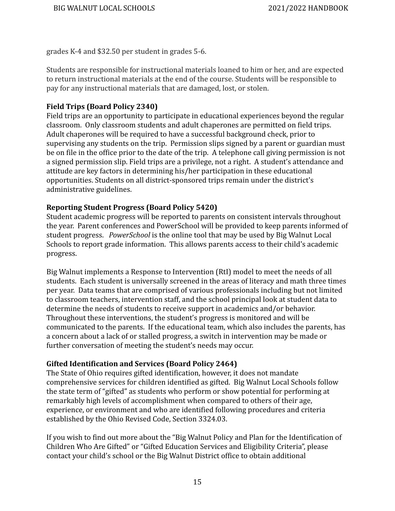grades K-4 and \$32.50 per student in grades 5-6.

Students are responsible for instructional materials loaned to him or her, and are expected to return instructional materials at the end of the course. Students will be responsible to pay for any instructional materials that are damaged, lost, or stolen.

#### <span id="page-15-0"></span>**Field Trips (Board Policy 2340)**

Field trips are an opportunity to participate in educational experiences beyond the regular classroom. Only classroom students and adult chaperones are permitted on field trips. Adult chaperones will be required to have a successful background check, prior to supervising any students on the trip. Permission slips signed by a parent or guardian must be on file in the office prior to the date of the trip. A telephone call giving permission is not a signed permission slip. Field trips are a privilege, not a right. A student's attendance and attitude are key factors in determining his/her participation in these educational opportunities. Students on all district-sponsored trips remain under the district's administrative guidelines.

#### <span id="page-15-1"></span>**Reporting Student Progress (Board Policy 5420)**

Student academic progress will be reported to parents on consistent intervals throughout the year. Parent conferences and PowerSchool will be provided to keep parents informed of student progress. *PowerSchool* is the online tool that may be used by Big Walnut Local Schools to report grade information. This allows parents access to their child's academic progress.

Big Walnut implements a Response to Intervention (RtI) model to meet the needs of all students. Each student is universally screened in the areas of literacy and math three times per year. Data teams that are comprised of various professionals including but not limited to classroom teachers, intervention staff, and the school principal look at student data to determine the needs of students to receive support in academics and/or behavior. Throughout these interventions, the student's progress is monitored and will be communicated to the parents. If the educational team, which also includes the parents, has a concern about a lack of or stalled progress, a switch in intervention may be made or further conversation of meeting the student's needs may occur.

### <span id="page-15-2"></span>**Gifted Identification and Services (Board Policy 2464)**

The State of Ohio requires gifted identification, however, it does not mandate comprehensive services for children identified as gifted. Big Walnut Local Schools follow the state term of "gifted" as students who perform or show potential for performing at remarkably high levels of accomplishment when compared to others of their age, experience, or environment and who are identified following procedures and criteria established by the Ohio Revised Code, Section 3324.03.

If you wish to find out more about the "Big Walnut Policy and Plan for the Identification of Children Who Are Gifted" or "Gifted Education Services and Eligibility Criteria", please contact your child's school or the Big Walnut District office to obtain additional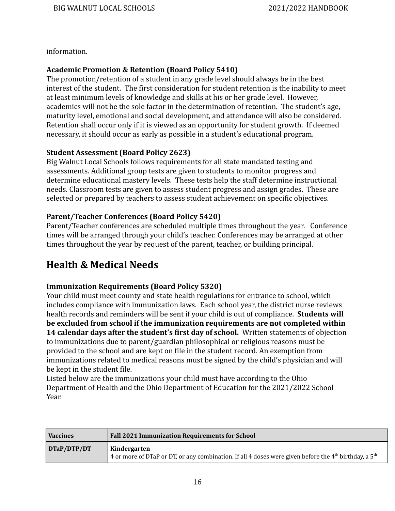information.

#### <span id="page-16-0"></span>**Academic Promotion & Retention (Board Policy 5410)**

The promotion/retention of a student in any grade level should always be in the best interest of the student. The first consideration for student retention is the inability to meet at least minimum levels of knowledge and skills at his or her grade level. However, academics will not be the sole factor in the determination of retention. The student's age, maturity level, emotional and social development, and attendance will also be considered. Retention shall occur only if it is viewed as an opportunity for student growth. If deemed necessary, it should occur as early as possible in a student's educational program.

#### <span id="page-16-1"></span>**Student Assessment (Board Policy 2623)**

Big Walnut Local Schools follows requirements for all state mandated testing and assessments. Additional group tests are given to students to monitor progress and determine educational mastery levels. These tests help the staff determine instructional needs. Classroom tests are given to assess student progress and assign grades. These are selected or prepared by teachers to assess student achievement on specific objectives.

### <span id="page-16-2"></span>**Parent/Teacher Conferences (Board Policy 5420)**

Parent/Teacher conferences are scheduled multiple times throughout the year. Conference times will be arranged through your child's teacher. Conferences may be arranged at other times throughout the year by request of the parent, teacher, or building principal.

# <span id="page-16-3"></span>**Health & Medical Needs**

### <span id="page-16-4"></span>**Immunization Requirements (Board Policy 5320)**

Your child must meet county and state health regulations for entrance to school, which includes compliance with immunization laws. Each school year, the district nurse reviews health records and reminders will be sent if your child is out of compliance. **Students will be excluded from school if the immunization requirements are not completed within 14 calendar days after the student's first day of school.** Written statements of objection to immunizations due to parent/guardian philosophical or religious reasons must be provided to the school and are kept on file in the student record. An exemption from immunizations related to medical reasons must be signed by the child's physician and will be kept in the student file.

Listed below are the immunizations your child must have according to the Ohio Department of Health and the Ohio Department of Education for the 2021/2022 School Year.

| <b>Vaccines</b> | <b>Fall 2021 Immunization Requirements for School</b>                                                                                         |
|-----------------|-----------------------------------------------------------------------------------------------------------------------------------------------|
| DTaP/DTP/DT     | Kindergarten<br>4 or more of DTaP or DT, or any combination. If all 4 doses were given before the 4 <sup>th</sup> birthday, a 5 <sup>th</sup> |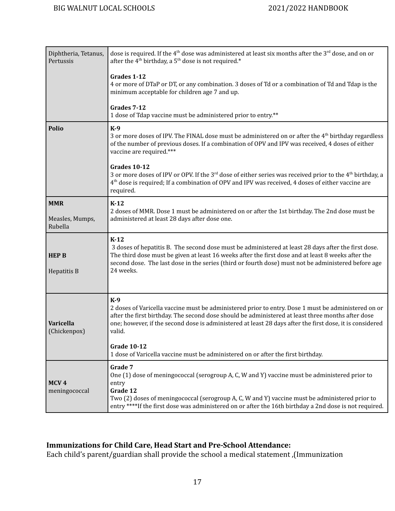| Diphtheria, Tetanus,<br>Pertussis        | dose is required. If the 4 <sup>th</sup> dose was administered at least six months after the 3 <sup>rd</sup> dose, and on or<br>after the 4 <sup>th</sup> birthday, a 5 <sup>th</sup> dose is not required.*                                                                                                                              |
|------------------------------------------|-------------------------------------------------------------------------------------------------------------------------------------------------------------------------------------------------------------------------------------------------------------------------------------------------------------------------------------------|
|                                          | Grades 1-12<br>4 or more of DTaP or DT, or any combination. 3 doses of Td or a combination of Td and Tdap is the<br>minimum acceptable for children age 7 and up.                                                                                                                                                                         |
|                                          | Grades 7-12<br>1 dose of Tdap vaccine must be administered prior to entry.**                                                                                                                                                                                                                                                              |
| <b>Polio</b>                             | $K-9$<br>3 or more doses of IPV. The FINAL dose must be administered on or after the 4 <sup>th</sup> birthday regardless<br>of the number of previous doses. If a combination of OPV and IPV was received, 4 doses of either<br>vaccine are required.***                                                                                  |
|                                          | <b>Grades 10-12</b><br>3 or more doses of IPV or OPV. If the 3 <sup>rd</sup> dose of either series was received prior to the 4 <sup>th</sup> birthday, a<br>$4th$ dose is required; If a combination of OPV and IPV was received, 4 doses of either vaccine are<br>required.                                                              |
| <b>MMR</b><br>Measles, Mumps,<br>Rubella | $K-12$<br>2 doses of MMR. Dose 1 must be administered on or after the 1st birthday. The 2nd dose must be<br>administered at least 28 days after dose one.                                                                                                                                                                                 |
| <b>HEP B</b><br>Hepatitis B              | $K-12$<br>3 doses of hepatitis B. The second dose must be administered at least 28 days after the first dose.<br>The third dose must be given at least 16 weeks after the first dose and at least 8 weeks after the<br>second dose. The last dose in the series (third or fourth dose) must not be administered before age<br>24 weeks.   |
| <b>Varicella</b><br>(Chickenpox)         | $K-9$<br>2 doses of Varicella vaccine must be administered prior to entry. Dose 1 must be administered on or<br>after the first birthday. The second dose should be administered at least three months after dose<br>one; however, if the second dose is administered at least 28 days after the first dose, it is considered<br>valid.   |
|                                          | <b>Grade 10-12</b><br>1 dose of Varicella vaccine must be administered on or after the first birthday.                                                                                                                                                                                                                                    |
| MCV <sub>4</sub><br>meningococcal        | Grade 7<br>One (1) dose of meningococcal (serogroup A, C, W and Y) vaccine must be administered prior to<br>entry<br>Grade 12<br>Two (2) doses of meningococcal (serogroup A, C, W and Y) vaccine must be administered prior to<br>entry ****If the first dose was administered on or after the 16th birthday a 2nd dose is not required. |

#### **Immunizations for Child Care, Head Start and Pre-School Attendance:**

Each child's parent/guardian shall provide the school a medical statement ,(Immunization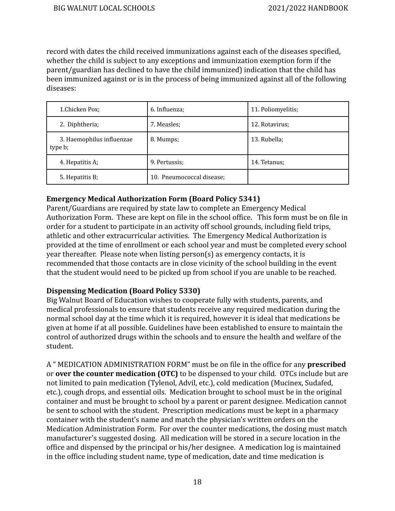record with dates the child received immunizations against each of the diseases specified, whether the child is subject to any exceptions and immunization exemption form if the parent/guardian has declined to have the child immunized) indication that the child has been immunized against or is in the process of being immunized against all of the following diseases:

| 1.Chicken Pox;                       | 6. Influenza;             | 11. Poliomyelitis; |
|--------------------------------------|---------------------------|--------------------|
| 2. Diphtheria;                       | 7. Measles;               | 12. Rotavirus:     |
| 3. Haemophilus influenzae<br>type b; | 8. Mumps;                 | 13. Rubella;       |
| 4. Hepatitis A;                      | 9. Pertussis:             | 14. Tetanus;       |
| 5. Hepatitis B;                      | 10. Pneumococcal disease; |                    |

#### <span id="page-18-0"></span>**Emergency Medical Authorization Form (Board Policy 5341)**

Parent/Guardians are required by state law to complete an Emergency Medical Authorization Form. These are kept on file in the school office. This form must be on file in order for a student to participate in an activity off school grounds, including field trips, athletic and other extracurricular activities. The Emergency Medical Authorization is provided at the time of enrollment or each school year and must be completed every school year thereafter. Please note when listing person(s) as emergency contacts, it is recommended that those contacts are in close vicinity of the school building in the event that the student would need to be picked up from school if you are unable to be reached.

#### <span id="page-18-1"></span>**Dispensing Medication (Board Policy 5330)**

Big Walnut Board of Education wishes to cooperate fully with students, parents, and medical professionals to ensure that students receive any required medication during the normal school day at the time which it is required, however it is ideal that medications be given at home if at all possible. Guidelines have been established to ensure to maintain the control of authorized drugs within the schools and to ensure the health and welfare of the student.

A " MEDICATION ADMINISTRATION FORM" must be on file in the office for any **prescribed** or **over the counter medication (OTC)** to be dispensed to your child. OTCs include but are not limited to pain medication (Tylenol, Advil, etc.), cold medication (Mucinex, Sudafed, etc.), cough drops, and essential oils. Medication brought to school must be in the original container and must be brought to school by a parent or parent designee. Medication cannot be sent to school with the student. Prescription medications must be kept in a pharmacy container with the student's name and match the physician's written orders on the Medication Administration Form. For over the counter medications, the dosing must match manufacturer's suggested dosing. All medication will be stored in a secure location in the office and dispensed by the principal or his/her designee. A medication log is maintained in the office including student name, type of medication, date and time medication is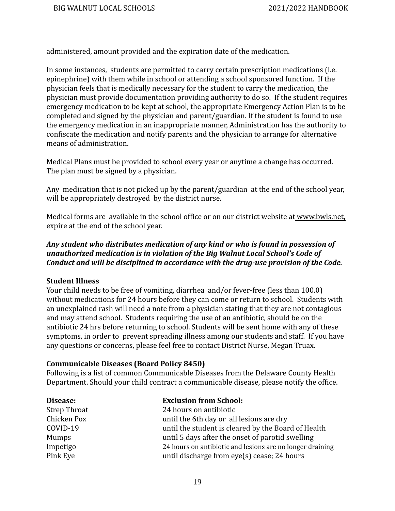administered, amount provided and the expiration date of the medication.

In some instances, students are permitted to carry certain prescription medications (i.e. epinephrine) with them while in school or attending a school sponsored function. If the physician feels that is medically necessary for the student to carry the medication, the physician must provide documentation providing authority to do so. If the student requires emergency medication to be kept at school, the appropriate Emergency Action Plan is to be completed and signed by the physician and parent/guardian. If the student is found to use the emergency medication in an inappropriate manner, Administration has the authority to confiscate the medication and notify parents and the physician to arrange for alternative means of administration.

Medical Plans must be provided to school every year or anytime a change has occurred. The plan must be signed by a physician.

Any medication that is not picked up by the parent/guardian at the end of the school year, will be appropriately destroyed by the district nurse.

Medical forms are available in the school office or on our district website at [www.b](http://www.bigwalnut.k12.oh.us)wls.net, expire at the end of the school year.

#### *Any student who distributes medication of any kind or who is found in possession of unauthorized medication is in violation of the Big Walnut Local School's Code of Conduct and will be disciplined in accordance with the drug-use provision of the Code.*

#### <span id="page-19-0"></span>**Student Illness**

Your child needs to be free of vomiting, diarrhea and/or fever-free (less than 100.0) without medications for 24 hours before they can come or return to school. Students with an unexplained rash will need a note from a physician stating that they are not contagious and may attend school. Students requiring the use of an antibiotic, should be on the antibiotic 24 hrs before returning to school. Students will be sent home with any of these symptoms, in order to prevent spreading illness among our students and staff. If you have any questions or concerns, please feel free to contact District Nurse, Megan Truax.

#### <span id="page-19-1"></span>**Communicable Diseases (Board Policy 8450)**

Following is a list of common Communicable Diseases from the Delaware County Health Department. Should your child contract a communicable disease, please notify the office.

| Disease:            | <b>Exclusion from School:</b>                             |
|---------------------|-----------------------------------------------------------|
| <b>Strep Throat</b> | 24 hours on antibiotic                                    |
| Chicken Pox         | until the 6th day or all lesions are dry                  |
| COVID-19            | until the student is cleared by the Board of Health       |
| Mumps               | until 5 days after the onset of parotid swelling          |
| Impetigo            | 24 hours on antibiotic and lesions are no longer draining |
| Pink Eye            | until discharge from eye(s) cease; 24 hours               |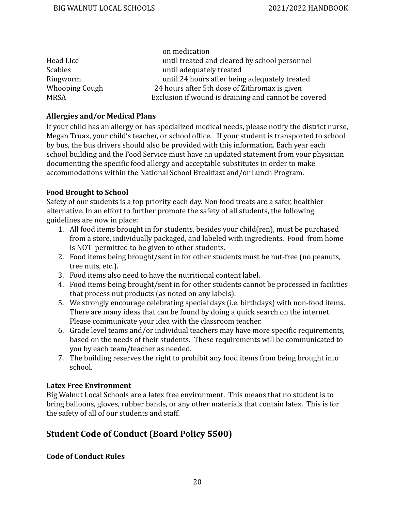|                | on medication                                        |
|----------------|------------------------------------------------------|
| Head Lice      | until treated and cleared by school personnel        |
| <b>Scabies</b> | until adequately treated                             |
| Ringworm       | until 24 hours after being adequately treated        |
| Whooping Cough | 24 hours after 5th dose of Zithromax is given        |
| <b>MRSA</b>    | Exclusion if wound is draining and cannot be covered |

#### <span id="page-20-0"></span>**Allergies and/or Medical Plans**

If your child has an allergy or has specialized medical needs, please notify the district nurse, Megan Truax, your child's teacher, or school office. If your student is transported to school by bus, the bus drivers should also be provided with this information. Each year each school building and the Food Service must have an updated statement from your physician documenting the specific food allergy and acceptable substitutes in order to make accommodations within the National School Breakfast and/or Lunch Program.

#### <span id="page-20-1"></span>**Food Brought to School**

Safety of our students is a top priority each day. Non food treats are a safer, healthier alternative. In an effort to further promote the safety of all students, the following guidelines are now in place:

- 1. All food items brought in for students, besides your child(ren), must be purchased from a store, individually packaged, and labeled with ingredients. Food from home is NOT permitted to be given to other students.
- 2. Food items being brought/sent in for other students must be nut-free (no peanuts, tree nuts, etc.).
- 3. Food items also need to have the nutritional content label.
- 4. Food items being brought/sent in for other students cannot be processed in facilities that process nut products (as noted on any labels).
- 5. We strongly encourage celebrating special days (i.e. birthdays) with non-food items. There are many ideas that can be found by doing a quick search on the internet. Please communicate your idea with the classroom teacher.
- 6. Grade level teams and/or individual teachers may have more specific requirements, based on the needs of their students. These requirements will be communicated to you by each team/teacher as needed.
- 7. The building reserves the right to prohibit any food items from being brought into school.

#### <span id="page-20-2"></span>**Latex Free Environment**

Big Walnut Local Schools are a latex free environment. This means that no student is to bring balloons, gloves, rubber bands, or any other materials that contain latex. This is for the safety of all of our students and staff.

## <span id="page-20-3"></span>**Student Code of Conduct (Board Policy 5500)**

<span id="page-20-4"></span>**Code of Conduct Rules**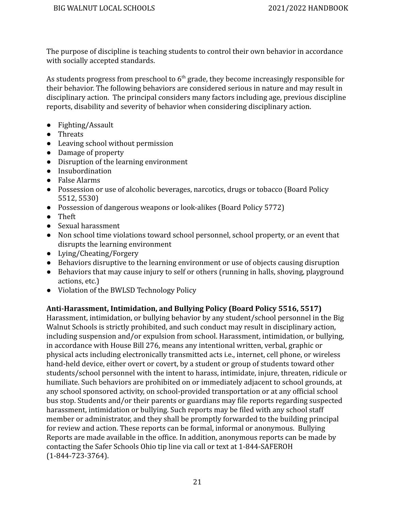The purpose of discipline is teaching students to control their own behavior in accordance with socially accepted standards.

As students progress from preschool to  $6<sup>th</sup>$  grade, they become increasingly responsible for their behavior. The following behaviors are considered serious in nature and may result in disciplinary action. The principal considers many factors including age, previous discipline reports, disability and severity of behavior when considering disciplinary action.

- Fighting/Assault
- Threats
- Leaving school without permission
- Damage of property
- Disruption of the learning environment
- Insubordination
- False Alarms
- Possession or use of alcoholic beverages, narcotics, drugs or tobacco (Board Policy 5512, 5530)
- Possession of dangerous weapons or look-alikes (Board Policy 5772)
- Theft
- Sexual harassment
- Non school time violations toward school personnel, school property, or an event that disrupts the learning environment
- Lying/Cheating/Forgery
- Behaviors disruptive to the learning environment or use of objects causing disruption
- Behaviors that may cause injury to self or others (running in halls, shoving, playground actions, etc.)
- Violation of the BWLSD Technology Policy

### <span id="page-21-0"></span>**Anti-Harassment, Intimidation, and Bullying Policy (Board Policy 5516, 5517)**

Harassment, intimidation, or bullying behavior by any student/school personnel in the Big Walnut Schools is strictly prohibited, and such conduct may result in disciplinary action, including suspension and/or expulsion from school. Harassment, intimidation, or bullying, in accordance with House Bill 276, means any intentional written, verbal, graphic or physical acts including electronically transmitted acts i.e., internet, cell phone, or wireless hand-held device, either overt or covert, by a student or group of students toward other students/school personnel with the intent to harass, intimidate, injure, threaten, ridicule or humiliate. Such behaviors are prohibited on or immediately adjacent to school grounds, at any school sponsored activity, on school-provided transportation or at any official school bus stop. Students and/or their parents or guardians may file reports regarding suspected harassment, intimidation or bullying. Such reports may be filed with any school staff member or administrator, and they shall be promptly forwarded to the building principal for review and action. These reports can be formal, informal or anonymous. Bullying Reports are made available in the office. In addition, anonymous reports can be made by contacting the Safer Schools Ohio tip line via call or text at 1-844-SAFEROH (1-844-723-3764).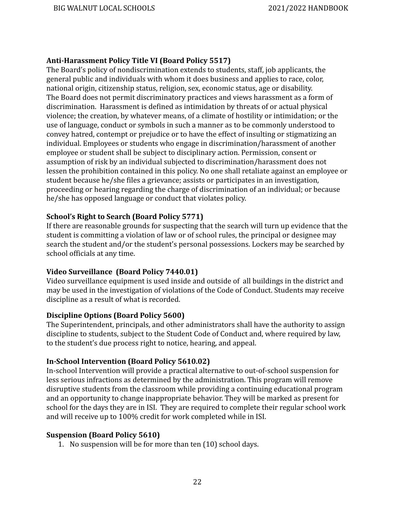#### <span id="page-22-0"></span>**Anti-Harassment Policy Title VI (Board Policy 5517)**

The Board's policy of nondiscrimination extends to students, staff, job applicants, the general public and individuals with whom it does business and applies to race, color, national origin, citizenship status, religion, sex, economic status, age or disability. The Board does not permit discriminatory practices and views harassment as a form of discrimination. Harassment is defined as intimidation by threats of or actual physical violence; the creation, by whatever means, of a climate of hostility or intimidation; or the use of language, conduct or symbols in such a manner as to be commonly understood to convey hatred, contempt or prejudice or to have the effect of insulting or stigmatizing an individual. Employees or students who engage in discrimination/harassment of another employee or student shall be subject to disciplinary action. Permission, consent or assumption of risk by an individual subjected to discrimination/harassment does not lessen the prohibition contained in this policy. No one shall retaliate against an employee or student because he/she files a grievance; assists or participates in an investigation, proceeding or hearing regarding the charge of discrimination of an individual; or because he/she has opposed language or conduct that violates policy.

#### <span id="page-22-1"></span>**School's Right to Search (Board Policy 5771)**

If there are reasonable grounds for suspecting that the search will turn up evidence that the student is committing a violation of law or of school rules, the principal or designee may search the student and/or the student's personal possessions. Lockers may be searched by school officials at any time.

#### <span id="page-22-2"></span>**Video Surveillance (Board Policy 7440.01)**

Video surveillance equipment is used inside and outside of all buildings in the district and may be used in the investigation of violations of the Code of Conduct. Students may receive discipline as a result of what is recorded.

#### <span id="page-22-3"></span>**Discipline Options (Board Policy 5600)**

The Superintendent, principals, and other administrators shall have the authority to assign discipline to students, subject to the Student Code of Conduct and, where required by law, to the student's due process right to notice, hearing, and appeal.

#### <span id="page-22-4"></span>**In-School Intervention (Board Policy 5610.02)**

In-school Intervention will provide a practical alternative to out-of-school suspension for less serious infractions as determined by the administration. This program will remove disruptive students from the classroom while providing a continuing educational program and an opportunity to change inappropriate behavior. They will be marked as present for school for the days they are in ISI. They are required to complete their regular school work and will receive up to 100% credit for work completed while in ISI.

#### <span id="page-22-5"></span>**Suspension (Board Policy 5610)**

1. No suspension will be for more than ten (10) school days.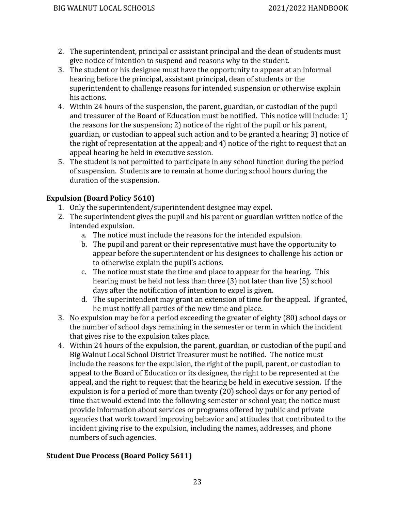- 2. The superintendent, principal or assistant principal and the dean of students must give notice of intention to suspend and reasons why to the student.
- 3. The student or his designee must have the opportunity to appear at an informal hearing before the principal, assistant principal, dean of students or the superintendent to challenge reasons for intended suspension or otherwise explain his actions.
- 4. Within 24 hours of the suspension, the parent, guardian, or custodian of the pupil and treasurer of the Board of Education must be notified. This notice will include: 1) the reasons for the suspension; 2) notice of the right of the pupil or his parent, guardian, or custodian to appeal such action and to be granted a hearing; 3) notice of the right of representation at the appeal; and 4) notice of the right to request that an appeal hearing be held in executive session.
- 5. The student is not permitted to participate in any school function during the period of suspension. Students are to remain at home during school hours during the duration of the suspension.

### <span id="page-23-0"></span>**Expulsion (Board Policy 5610)**

- 1. Only the superintendent/superintendent designee may expel.
- 2. The superintendent gives the pupil and his parent or guardian written notice of the intended expulsion.
	- a. The notice must include the reasons for the intended expulsion.
	- b. The pupil and parent or their representative must have the opportunity to appear before the superintendent or his designees to challenge his action or to otherwise explain the pupil's actions.
	- c. The notice must state the time and place to appear for the hearing. This hearing must be held not less than three (3) not later than five (5) school days after the notification of intention to expel is given.
	- d. The superintendent may grant an extension of time for the appeal. If granted, he must notify all parties of the new time and place.
- 3. No expulsion may be for a period exceeding the greater of eighty (80) school days or the number of school days remaining in the semester or term in which the incident that gives rise to the expulsion takes place.
- 4. Within 24 hours of the expulsion, the parent, guardian, or custodian of the pupil and Big Walnut Local School District Treasurer must be notified. The notice must include the reasons for the expulsion, the right of the pupil, parent, or custodian to appeal to the Board of Education or its designee, the right to be represented at the appeal, and the right to request that the hearing be held in executive session. If the expulsion is for a period of more than twenty (20) school days or for any period of time that would extend into the following semester or school year, the notice must provide information about services or programs offered by public and private agencies that work toward improving behavior and attitudes that contributed to the incident giving rise to the expulsion, including the names, addresses, and phone numbers of such agencies.

### <span id="page-23-1"></span>**Student Due Process (Board Policy 5611)**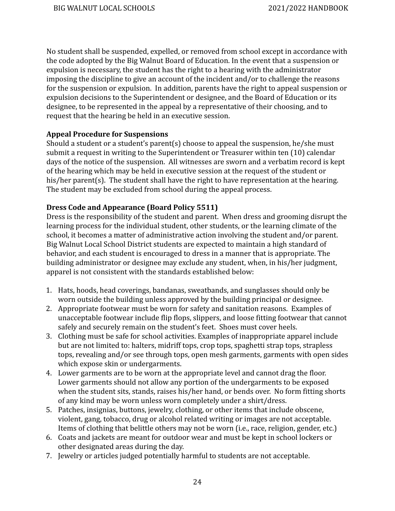No student shall be suspended, expelled, or removed from school except in accordance with the code adopted by the Big Walnut Board of Education. In the event that a suspension or expulsion is necessary, the student has the right to a hearing with the administrator imposing the discipline to give an account of the incident and/or to challenge the reasons for the suspension or expulsion. In addition, parents have the right to appeal suspension or expulsion decisions to the Superintendent or designee, and the Board of Education or its designee, to be represented in the appeal by a representative of their choosing, and to request that the hearing be held in an executive session.

#### <span id="page-24-0"></span>**Appeal Procedure for Suspensions**

Should a student or a student's parent(s) choose to appeal the suspension, he/she must submit a request in writing to the Superintendent or Treasurer within ten (10) calendar days of the notice of the suspension. All witnesses are sworn and a verbatim record is kept of the hearing which may be held in executive session at the request of the student or his/her parent(s). The student shall have the right to have representation at the hearing. The student may be excluded from school during the appeal process.

#### <span id="page-24-1"></span>**Dress Code and Appearance (Board Policy 5511)**

Dress is the responsibility of the student and parent. When dress and grooming disrupt the learning process for the individual student, other students, or the learning climate of the school, it becomes a matter of administrative action involving the student and/or parent. Big Walnut Local School District students are expected to maintain a high standard of behavior, and each student is encouraged to dress in a manner that is appropriate. The building administrator or designee may exclude any student, when, in his/her judgment, apparel is not consistent with the standards established below:

- 1. Hats, hoods, head coverings, bandanas, sweatbands, and sunglasses should only be worn outside the building unless approved by the building principal or designee.
- 2. Appropriate footwear must be worn for safety and sanitation reasons. Examples of unacceptable footwear include flip flops, slippers, and loose fitting footwear that cannot safely and securely remain on the student's feet. Shoes must cover heels.
- 3. Clothing must be safe for school activities. Examples of inappropriate apparel include but are not limited to: halters, midriff tops, crop tops, spaghetti strap tops, strapless tops, revealing and/or see through tops, open mesh garments, garments with open sides which expose skin or undergarments.
- 4. Lower garments are to be worn at the appropriate level and cannot drag the floor. Lower garments should not allow any portion of the undergarments to be exposed when the student sits, stands, raises his/her hand, or bends over. No form fitting shorts of any kind may be worn unless worn completely under a shirt/dress.
- 5. Patches, insignias, buttons, jewelry, clothing, or other items that include obscene, violent, gang, tobacco, drug or alcohol related writing or images are not acceptable. Items of clothing that belittle others may not be worn (i.e., race, religion, gender, etc.)
- 6. Coats and jackets are meant for outdoor wear and must be kept in school lockers or other designated areas during the day.
- 7. Jewelry or articles judged potentially harmful to students are not acceptable.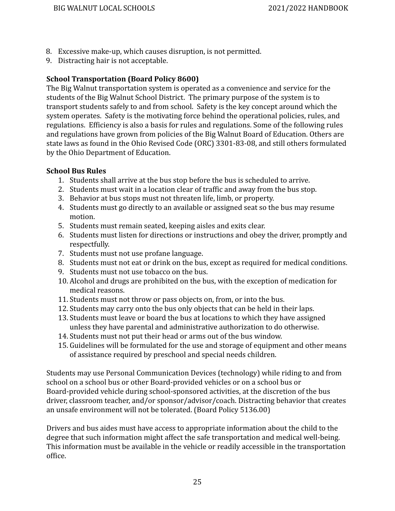- 8. Excessive make-up, which causes disruption, is not permitted.
- 9. Distracting hair is not acceptable.

#### <span id="page-25-0"></span>**School Transportation (Board Policy 8600)**

The Big Walnut transportation system is operated as a convenience and service for the students of the Big Walnut School District. The primary purpose of the system is to transport students safely to and from school. Safety is the key concept around which the system operates. Safety is the motivating force behind the operational policies, rules, and regulations. Efficiency is also a basis for rules and regulations. Some of the following rules and regulations have grown from policies of the Big Walnut Board of Education. Others are state laws as found in the Ohio Revised Code (ORC) 3301-83-08, and still others formulated by the Ohio Department of Education.

#### <span id="page-25-1"></span>**School Bus Rules**

- 1. Students shall arrive at the bus stop before the bus is scheduled to arrive.
- 2. Students must wait in a location clear of traffic and away from the bus stop.
- 3. Behavior at bus stops must not threaten life, limb, or property.
- 4. Students must go directly to an available or assigned seat so the bus may resume motion.
- 5. Students must remain seated, keeping aisles and exits clear.
- 6. Students must listen for directions or instructions and obey the driver, promptly and respectfully.
- 7. Students must not use profane language.
- 8. Students must not eat or drink on the bus, except as required for medical conditions.
- 9. Students must not use tobacco on the bus.
- 10. Alcohol and drugs are prohibited on the bus, with the exception of medication for medical reasons.
- 11. Students must not throw or pass objects on, from, or into the bus.
- 12. Students may carry onto the bus only objects that can be held in their laps.
- 13. Students must leave or board the bus at locations to which they have assigned unless they have parental and administrative authorization to do otherwise.
- 14. Students must not put their head or arms out of the bus window.
- 15. Guidelines will be formulated for the use and storage of equipment and other means of assistance required by preschool and special needs children.

Students may use Personal Communication Devices (technology) while riding to and from school on a school bus or other Board-provided vehicles or on a school bus or Board-provided vehicle during school-sponsored activities, at the discretion of the bus driver, classroom teacher, and/or sponsor/advisor/coach. Distracting behavior that creates an unsafe environment will not be tolerated. (Board Policy 5136.00)

Drivers and bus aides must have access to appropriate information about the child to the degree that such information might affect the safe transportation and medical well-being. This information must be available in the vehicle or readily accessible in the transportation office.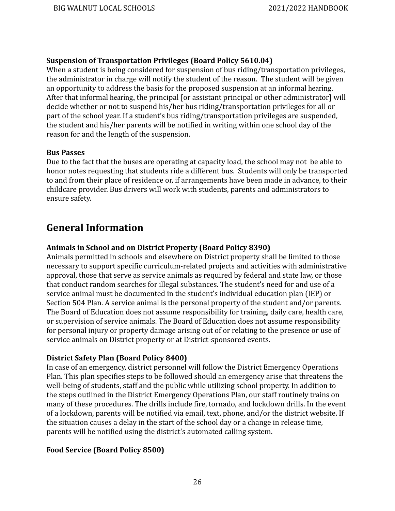#### <span id="page-26-0"></span>**Suspension of Transportation Privileges (Board Policy 5610.04)**

When a student is being considered for suspension of bus riding/transportation privileges, the administrator in charge will notify the student of the reason. The student will be given an opportunity to address the basis for the proposed suspension at an informal hearing. After that informal hearing, the principal [or assistant principal or other administrator] will decide whether or not to suspend his/her bus riding/transportation privileges for all or part of the school year. If a student's bus riding/transportation privileges are suspended, the student and his/her parents will be notified in writing within one school day of the reason for and the length of the suspension.

#### <span id="page-26-1"></span>**Bus Passes**

Due to the fact that the buses are operating at capacity load, the school may not be able to honor notes requesting that students ride a different bus. Students will only be transported to and from their place of residence or, if arrangements have been made in advance, to their childcare provider. Bus drivers will work with students, parents and administrators to ensure safety.

## <span id="page-26-2"></span>**General Information**

#### <span id="page-26-3"></span>**Animals in School and on District Property (Board Policy 8390)**

Animals permitted in schools and elsewhere on District property shall be limited to those necessary to support specific curriculum-related projects and activities with administrative approval, those that serve as service animals as required by federal and state law, or those that conduct random searches for illegal substances. The student's need for and use of a service animal must be documented in the student's individual education plan (IEP) or Section 504 Plan. A service animal is the personal property of the student and/or parents. The Board of Education does not assume responsibility for training, daily care, health care, or supervision of service animals. The Board of Education does not assume responsibility for personal injury or property damage arising out of or relating to the presence or use of service animals on District property or at District-sponsored events.

#### **District Safety Plan (Board Policy 8400)**

In case of an emergency, district personnel will follow the District Emergency Operations Plan. This plan specifies steps to be followed should an emergency arise that threatens the well-being of students, staff and the public while utilizing school property. In addition to the steps outlined in the District Emergency Operations Plan, our staff routinely trains on many of these procedures. The drills include fire, tornado, and lockdown drills. In the event of a lockdown, parents will be notified via email, text, phone, and/or the district website. If the situation causes a delay in the start of the school day or a change in release time, parents will be notified using the district's automated calling system.

#### <span id="page-26-4"></span>**Food Service (Board Policy 8500)**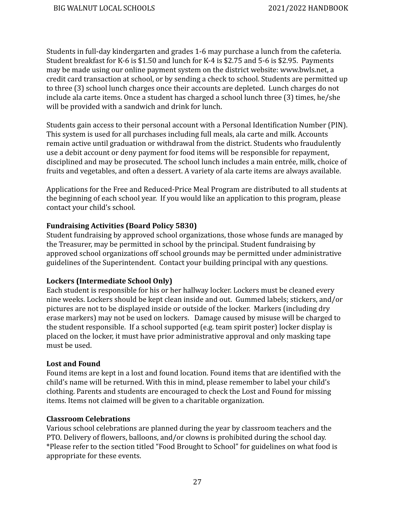Students in full-day kindergarten and grades 1-6 may purchase a lunch from the cafeteria. Student breakfast for K-6 is \$1.50 and lunch for K-4 is \$2.75 and 5-6 is \$2.95. Payments may be made using our online payment system on the district website: [www.bwls.net](http://www.bwls.net), a credit card transaction at school, or by sending a check to school. Students are permitted up to three (3) school lunch charges once their accounts are depleted. Lunch charges do not include ala carte items. Once a student has charged a school lunch three (3) times, he/she will be provided with a sandwich and drink for lunch.

Students gain access to their personal account with a Personal Identification Number (PIN). This system is used for all purchases including full meals, ala carte and milk. Accounts remain active until graduation or withdrawal from the district. Students who fraudulently use a debit account or deny payment for food items will be responsible for repayment, disciplined and may be prosecuted. The school lunch includes a main entrée, milk, choice of fruits and vegetables, and often a dessert. A variety of ala carte items are always available.

Applications for the Free and Reduced-Price Meal Program are distributed to all students at the beginning of each school year. If you would like an application to this program, please contact your child's school.

#### <span id="page-27-0"></span>**Fundraising Activities (Board Policy 5830)**

Student fundraising by approved school organizations, those whose funds are managed by the Treasurer, may be permitted in school by the principal. Student fundraising by approved school organizations off school grounds may be permitted under administrative guidelines of the Superintendent. Contact your building principal with any questions.

#### <span id="page-27-1"></span>**Lockers (Intermediate School Only)**

Each student is responsible for his or her hallway locker. Lockers must be cleaned every nine weeks. Lockers should be kept clean inside and out. Gummed labels; stickers, and/or pictures are not to be displayed inside or outside of the locker. Markers (including dry erase markers) may not be used on lockers. Damage caused by misuse will be charged to the student responsible. If a school supported (e.g. team spirit poster) locker display is placed on the locker, it must have prior administrative approval and only masking tape must be used.

#### <span id="page-27-2"></span>**Lost and Found**

Found items are kept in a lost and found location. Found items that are identified with the child's name will be returned. With this in mind, please remember to label your child's clothing. Parents and students are encouraged to check the Lost and Found for missing items. Items not claimed will be given to a charitable organization.

#### <span id="page-27-3"></span>**Classroom Celebrations**

Various school celebrations are planned during the year by classroom teachers and the PTO. Delivery of flowers, balloons, and/or clowns is prohibited during the school day. \*Please refer to the section titled "Food Brought to School" for guidelines on what food is appropriate for these events.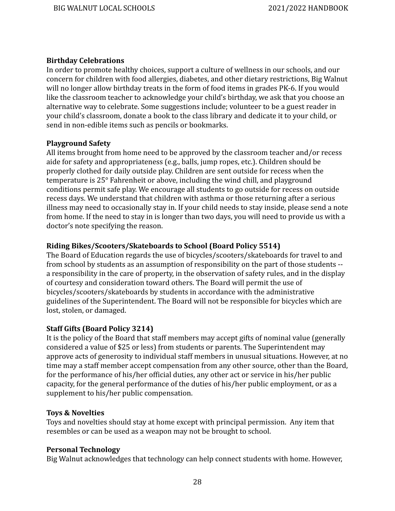#### <span id="page-28-0"></span>**Birthday Celebrations**

In order to promote healthy choices, support a culture of wellness in our schools, and our concern for children with food allergies, diabetes, and other dietary restrictions, Big Walnut will no longer allow birthday treats in the form of food items in grades PK-6. If you would like the classroom teacher to acknowledge your child's birthday, we ask that you choose an alternative way to celebrate. Some suggestions include; volunteer to be a guest reader in your child's classroom, donate a book to the class library and dedicate it to your child, or send in non-edible items such as pencils or bookmarks.

#### <span id="page-28-1"></span>**Playground Safety**

All items brought from home need to be approved by the classroom teacher and/or recess aide for safety and appropriateness (e.g., balls, jump ropes, etc.). Children should be properly clothed for daily outside play. Children are sent outside for recess when the temperature is 25° Fahrenheit or above, including the wind chill, and playground conditions permit safe play. We encourage all students to go outside for recess on outside recess days. We understand that children with asthma or those returning after a serious illness may need to occasionally stay in. If your child needs to stay inside, please send a note from home. If the need to stay in is longer than two days, you will need to provide us with a doctor's note specifying the reason.

#### <span id="page-28-2"></span>**Riding Bikes/Scooters/Skateboards to School (Board Policy 5514)**

The Board of Education regards the use of bicycles/scooters/skateboards for travel to and from school by students as an assumption of responsibility on the part of those students - a responsibility in the care of property, in the observation of safety rules, and in the display of courtesy and consideration toward others. The Board will permit the use of bicycles/scooters/skateboards by students in accordance with the administrative guidelines of the Superintendent. The Board will not be responsible for bicycles which are lost, stolen, or damaged.

#### <span id="page-28-3"></span>**Staff Gifts (Board Policy 3214)**

It is the policy of the Board that staff members may accept gifts of nominal value (generally considered a value of \$25 or less) from students or parents. The Superintendent may approve acts of generosity to individual staff members in unusual situations. However, at no time may a staff member accept compensation from any other source, other than the Board, for the performance of his/her official duties, any other act or service in his/her public capacity, for the general performance of the duties of his/her public employment, or as a supplement to his/her public compensation.

#### <span id="page-28-4"></span>**Toys & Novelties**

Toys and novelties should stay at home except with principal permission. Any item that resembles or can be used as a weapon may not be brought to school.

#### <span id="page-28-5"></span>**Personal Technology**

Big Walnut acknowledges that technology can help connect students with home. However,